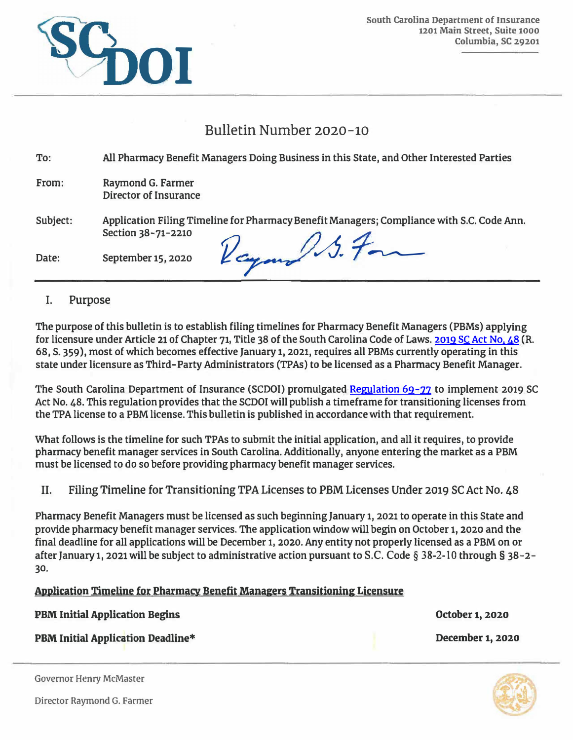

# Bulletin Number 2020-10

| To:      | All Pharmacy Benefit Managers Doing Business in this State, and Other Interested Parties                        |
|----------|-----------------------------------------------------------------------------------------------------------------|
| From:    | Raymond G. Farmer<br>Director of Insurance                                                                      |
| Subject: | Application Filing Timeline for Pharmacy Benefit Managers; Compliance with S.C. Code Ann.<br>Section 38-71-2210 |
| Date:    | Raymond S. For<br>September 15, 2020                                                                            |

# **I. Purpose**

**The purpose of this bulletin is to establish filing timelines for Pharmacy Benefit Managers (PBMs) applying for licensure under Article 21 of Chapter 71**1 **Title 38 of the South Carolina Code of Laws. [2019 SC Act](https://www.scstatehouse.gov/sess123_2019-2020/bills/359.htm) No. 48 (R. 68, S. 359 ), most of which becomes effective January 1**1 **2021**1 **requires all PBMs currently operating in this state under licensure as Third-Party Administrators (TPAs) to be licensed as a Pharmacy Benefit Manager.** 

**The South Carolina Department of Insurance (SCDOI) promulgated [Regulation 69-77](https://doi.sc.gov/DocumentCenter/View/12996/SC-Code---R-69-77-PBMs-as-Approved) to implement 2019 SC Act No. 48. This regulationprovides that the SCDOI will publish a timeframe for transitioning licenses from the TPA license to a PBM license. This bulletin is published in accordancewith that requirement.** 

**What follows is the timeline for such TPAs to submit the initial application, and all it requires, to provide pharmacy benefit manager services in South Carolina. Additionally, anyone entering the market as a PBM must be licensed to do so before providing pharmacy benefit manager services.** 

**II. Filing Timeline for Transitioning TPA Licenses to PBM Licenses Under 2019 SC Act No. 48**

**Pharmacy Benefit Managers must be licensed as such beginning January 1**1 **2021 to operate in this State and provide pharmacy benefit manager services. The application window will begin on October 1, 2020 and the final deadline for all applications will be December 1**1 **2020. Any entity not properly licensed as a PBM on or after January 1, 2021 will be subject to administrative action pursuant to S.C. Code § 38-2-10 through§ 38-2- 30.** 

# **Al}plication** Timeline for Pharmacy Benefit **Managers** Transitioning Licensure

| <b>PBM Initial Application Begins</b>    | October 1, 2020         |
|------------------------------------------|-------------------------|
| <b>PBM Initial Application Deadline*</b> | <b>December 1, 2020</b> |

**Governor Henry McMaster**